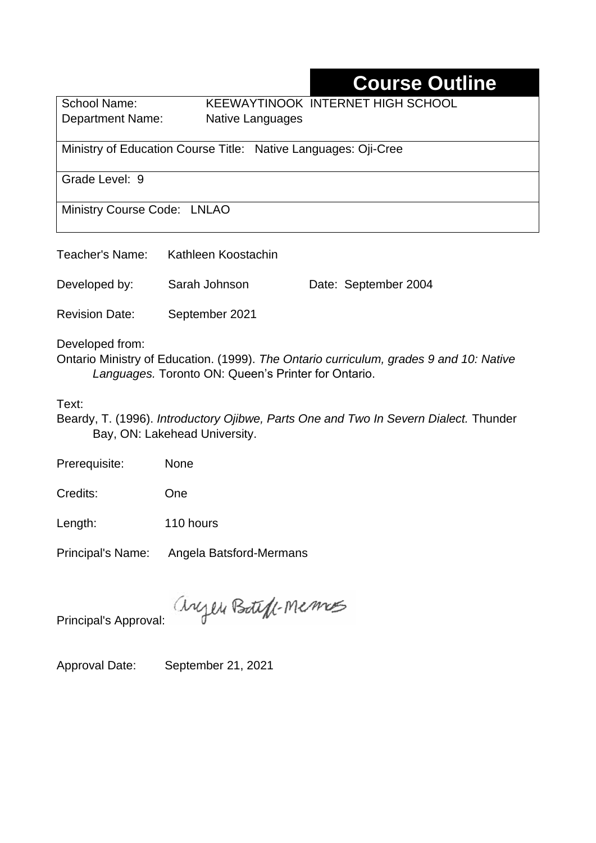# **Course Outline**

School Name: KEEWAYTINOOK INTERNET HIGH SCHOOL Department Name:Native Languages

Ministry of Education Course Title:Native Languages: Oji-Cree

Grade Level: 9

Ministry Course Code: LNLAO

| Teacher's Name:       | Kathleen Koostachin |                      |
|-----------------------|---------------------|----------------------|
| Developed by:         | Sarah Johnson       | Date: September 2004 |
| <b>Revision Date:</b> | September 2021      |                      |

Developed from:

Ontario Ministry of Education. (1999). *The Ontario curriculum, grades 9 and 10: Native Languages.* Toronto ON: Queen's Printer for Ontario.

Text:

Beardy, T. (1996). *Introductory Ojibwe, Parts One and Two In Severn Dialect.* Thunder Bay, ON: Lakehead University.

Prerequisite: None

Credits: One

Length: 110 hours

Principal's Name: Angela Batsford-Mermans

anyen Boteff-Memos

Principal's Approval:

Approval Date: September 21, 2021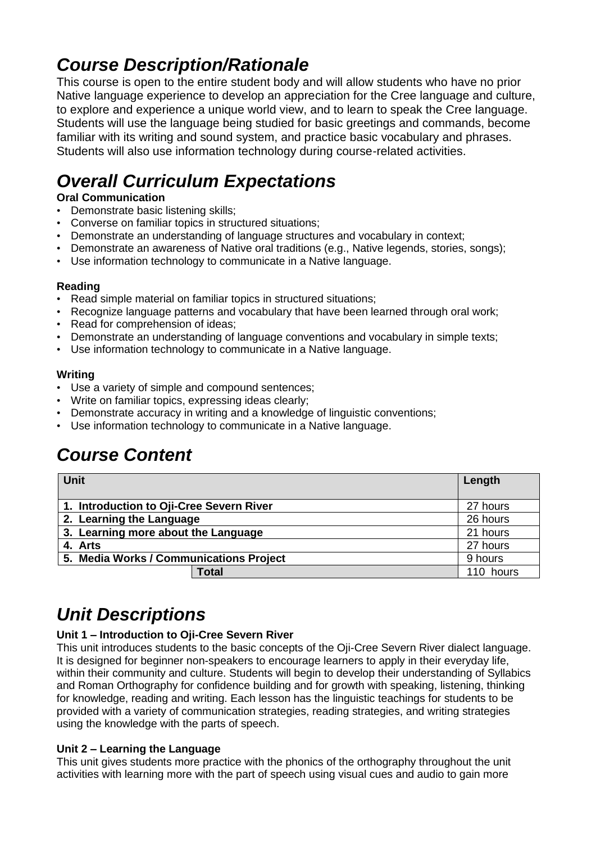### *Course Description/Rationale*

This course is open to the entire student body and will allow students who have no prior Native language experience to develop an appreciation for the Cree language and culture, to explore and experience a unique world view, and to learn to speak the Cree language. Students will use the language being studied for basic greetings and commands, become familiar with its writing and sound system, and practice basic vocabulary and phrases. Students will also use information technology during course-related activities.

# *Overall Curriculum Expectations*

#### **Oral Communication**

- Demonstrate basic listening skills;
- Converse on familiar topics in structured situations;
- Demonstrate an understanding of language structures and vocabulary in context;
- Demonstrate an awareness of Native oral traditions (e.g., Native legends, stories, songs);
- Use information technology to communicate in a Native language.

#### **Reading**

- Read simple material on familiar topics in structured situations;
- Recognize language patterns and vocabulary that have been learned through oral work;
- Read for comprehension of ideas;
- Demonstrate an understanding of language conventions and vocabulary in simple texts;
- Use information technology to communicate in a Native language.

#### **Writing**

- Use a variety of simple and compound sentences;
- Write on familiar topics, expressing ideas clearly;
- Demonstrate accuracy in writing and a knowledge of linguistic conventions;
- Use information technology to communicate in a Native language.

# *Course Content*

| <b>Unit</b>                              | Length    |
|------------------------------------------|-----------|
| 1. Introduction to Oji-Cree Severn River | 27 hours  |
| 2. Learning the Language                 | 26 hours  |
| 3. Learning more about the Language      | 21 hours  |
| 4. Arts                                  | 27 hours  |
| 5. Media Works / Communications Project  | 9 hours   |
| <b>Total</b>                             | 110 hours |

# *Unit Descriptions*

#### **Unit 1 – Introduction to Oji-Cree Severn River**

This unit introduces students to the basic concepts of the Oji-Cree Severn River dialect language. It is designed for beginner non-speakers to encourage learners to apply in their everyday life, within their community and culture. Students will begin to develop their understanding of Syllabics and Roman Orthography for confidence building and for growth with speaking, listening, thinking for knowledge, reading and writing. Each lesson has the linguistic teachings for students to be provided with a variety of communication strategies, reading strategies, and writing strategies using the knowledge with the parts of speech.

#### **Unit 2 – Learning the Language**

This unit gives students more practice with the phonics of the orthography throughout the unit activities with learning more with the part of speech using visual cues and audio to gain more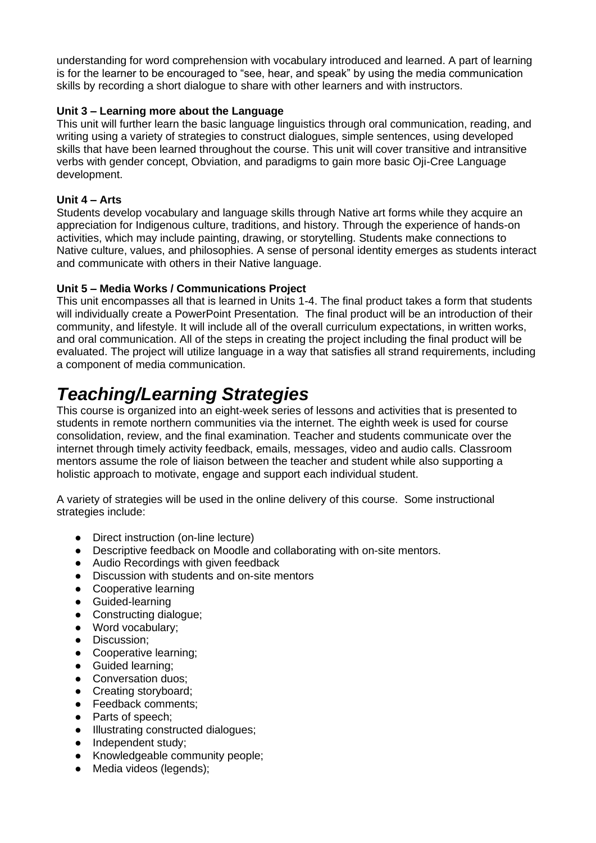understanding for word comprehension with vocabulary introduced and learned. A part of learning is for the learner to be encouraged to "see, hear, and speak" by using the media communication skills by recording a short dialogue to share with other learners and with instructors.

#### **Unit 3 – Learning more about the Language**

This unit will further learn the basic language linguistics through oral communication, reading, and writing using a variety of strategies to construct dialogues, simple sentences, using developed skills that have been learned throughout the course. This unit will cover transitive and intransitive verbs with gender concept, Obviation, and paradigms to gain more basic Oji-Cree Language development.

#### **Unit 4 – Arts**

Students develop vocabulary and language skills through Native art forms while they acquire an appreciation for Indigenous culture, traditions, and history. Through the experience of hands-on activities, which may include painting, drawing, or storytelling. Students make connections to Native culture, values, and philosophies. A sense of personal identity emerges as students interact and communicate with others in their Native language.

#### **Unit 5 – Media Works / Communications Project**

This unit encompasses all that is learned in Units 1-4. The final product takes a form that students will individually create a PowerPoint Presentation. The final product will be an introduction of their community, and lifestyle. It will include all of the overall curriculum expectations, in written works, and oral communication. All of the steps in creating the project including the final product will be evaluated. The project will utilize language in a way that satisfies all strand requirements, including a component of media communication.

### *Teaching/Learning Strategies*

This course is organized into an eight-week series of lessons and activities that is presented to students in remote northern communities via the internet. The eighth week is used for course consolidation, review, and the final examination. Teacher and students communicate over the internet through timely activity feedback, emails, messages, video and audio calls. Classroom mentors assume the role of liaison between the teacher and student while also supporting a holistic approach to motivate, engage and support each individual student.

A variety of strategies will be used in the online delivery of this course. Some instructional strategies include:

- Direct instruction (on-line lecture)
- Descriptive feedback on Moodle and collaborating with on-site mentors.
- Audio Recordings with given feedback
- Discussion with students and on-site mentors<br>• Cooperative learning
- Cooperative learning
- Guided-learning
- Constructing dialogue;
- Word vocabulary;
- Discussion;
- Cooperative learning;
- Guided learning;
- Conversation duos:
- Creating storyboard;
- Feedback comments;
- Parts of speech:
- Illustrating constructed dialogues;
- Independent study:
- Knowledgeable community people;
- Media videos (legends);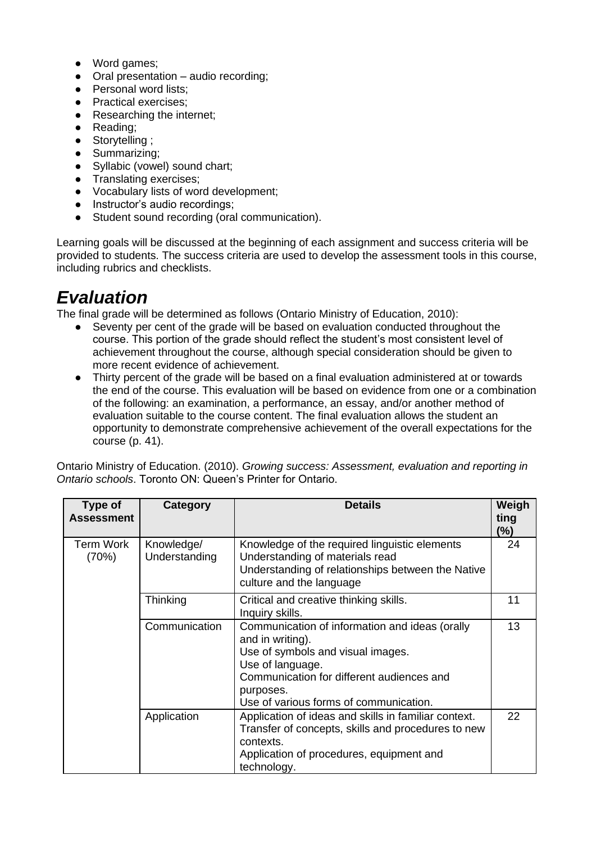- Word games;
- Oral presentation audio recording;
- Personal word lists:
- Practical exercises;
- Researching the internet;
- Reading;
- Storytelling ;
- Summarizing;
- Syllabic (vowel) sound chart:
- **•** Translating exercises;
- Vocabulary lists of word development;
- Instructor's audio recordings:
- Student sound recording (oral communication).

Learning goals will be discussed at the beginning of each assignment and success criteria will be provided to students. The success criteria are used to develop the assessment tools in this course, including rubrics and checklists.

### *Evaluation*

The final grade will be determined as follows (Ontario Ministry of Education, 2010):

- Seventy per cent of the grade will be based on evaluation conducted throughout the course. This portion of the grade should reflect the student's most consistent level of achievement throughout the course, although special consideration should be given to more recent evidence of achievement.
- Thirty percent of the grade will be based on a final evaluation administered at or towards the end of the course. This evaluation will be based on evidence from one or a combination of the following: an examination, a performance, an essay, and/or another method of evaluation suitable to the course content. The final evaluation allows the student an opportunity to demonstrate comprehensive achievement of the overall expectations for the course (p. 41).

Ontario Ministry of Education. (2010). *Growing success: Assessment, evaluation and reporting in Ontario schools*. Toronto ON: Queen's Printer for Ontario.

| Type of<br><b>Assessment</b> | Category                    | <b>Details</b>                                                                                                                                                                                                                  | Weigh<br>ting<br>$(\%)$ |
|------------------------------|-----------------------------|---------------------------------------------------------------------------------------------------------------------------------------------------------------------------------------------------------------------------------|-------------------------|
| Term Work<br>(70%)           | Knowledge/<br>Understanding | Knowledge of the required linguistic elements<br>Understanding of materials read<br>Understanding of relationships between the Native<br>culture and the language                                                               | 24                      |
|                              | Thinking                    | Critical and creative thinking skills.<br>Inquiry skills.                                                                                                                                                                       | 11                      |
|                              | Communication               | Communication of information and ideas (orally<br>and in writing).<br>Use of symbols and visual images.<br>Use of language.<br>Communication for different audiences and<br>purposes.<br>Use of various forms of communication. | 13                      |
|                              | Application                 | Application of ideas and skills in familiar context.<br>Transfer of concepts, skills and procedures to new<br>contexts.<br>Application of procedures, equipment and<br>technology.                                              | 22                      |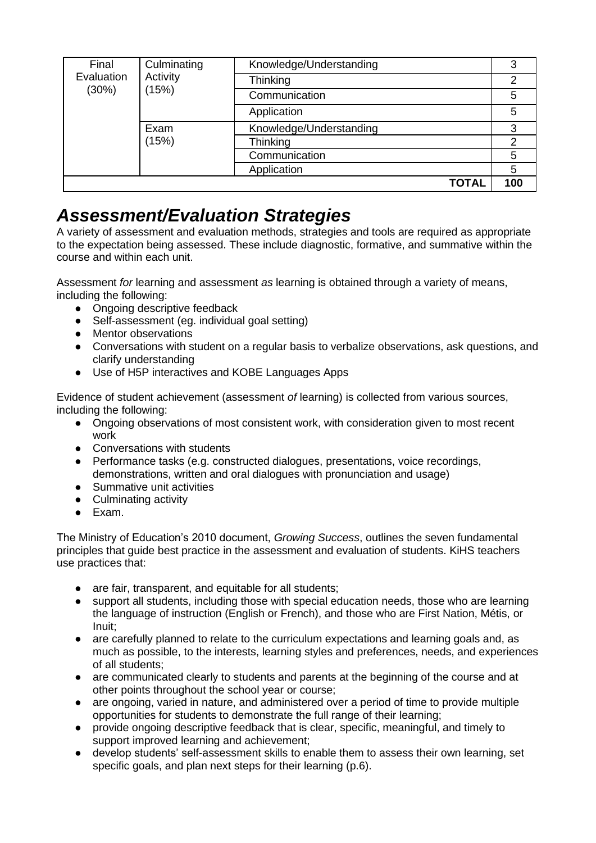| Final<br>Evaluation<br>(30%) | Culminating<br>Activity<br>(15%) | Knowledge/Understanding | 3   |
|------------------------------|----------------------------------|-------------------------|-----|
|                              |                                  | Thinking                | 2   |
|                              |                                  | Communication           | 5   |
|                              |                                  | Application             | 5   |
|                              | Exam                             | Knowledge/Understanding | 3   |
|                              | (15%)                            | Thinking                | っ   |
|                              |                                  | Communication           | 5   |
|                              |                                  | Application             | 5   |
|                              |                                  | <b>TOTAL</b>            | 100 |

### *Assessment/Evaluation Strategies*

A variety of assessment and evaluation methods, strategies and tools are required as appropriate to the expectation being assessed. These include diagnostic, formative, and summative within the course and within each unit.

Assessment *for* learning and assessment *as* learning is obtained through a variety of means, including the following:

- Ongoing descriptive feedback
- Self-assessment (eg. individual goal setting)
- Mentor observations
- Conversations with student on a regular basis to verbalize observations, ask questions, and clarify understanding
- Use of H5P interactives and KOBE Languages Apps

Evidence of student achievement (assessment *of* learning) is collected from various sources, including the following:

- Ongoing observations of most consistent work, with consideration given to most recent work
- Conversations with students
- Performance tasks (e.g. constructed dialogues, presentations, voice recordings, demonstrations, written and oral dialogues with pronunciation and usage)
- Summative unit activities
- Culminating activity
- Exam.

The Ministry of Education's 2010 document, *Growing Success*, outlines the seven fundamental principles that guide best practice in the assessment and evaluation of students. KiHS teachers use practices that:

- are fair, transparent, and equitable for all students;
- support all students, including those with special education needs, those who are learning the language of instruction (English or French), and those who are First Nation, Métis, or Inuit;
- are carefully planned to relate to the curriculum expectations and learning goals and, as much as possible, to the interests, learning styles and preferences, needs, and experiences of all students;
- are communicated clearly to students and parents at the beginning of the course and at other points throughout the school year or course;
- are ongoing, varied in nature, and administered over a period of time to provide multiple opportunities for students to demonstrate the full range of their learning;
- provide ongoing descriptive feedback that is clear, specific, meaningful, and timely to support improved learning and achievement;
- develop students' self-assessment skills to enable them to assess their own learning, set specific goals, and plan next steps for their learning (p.6).